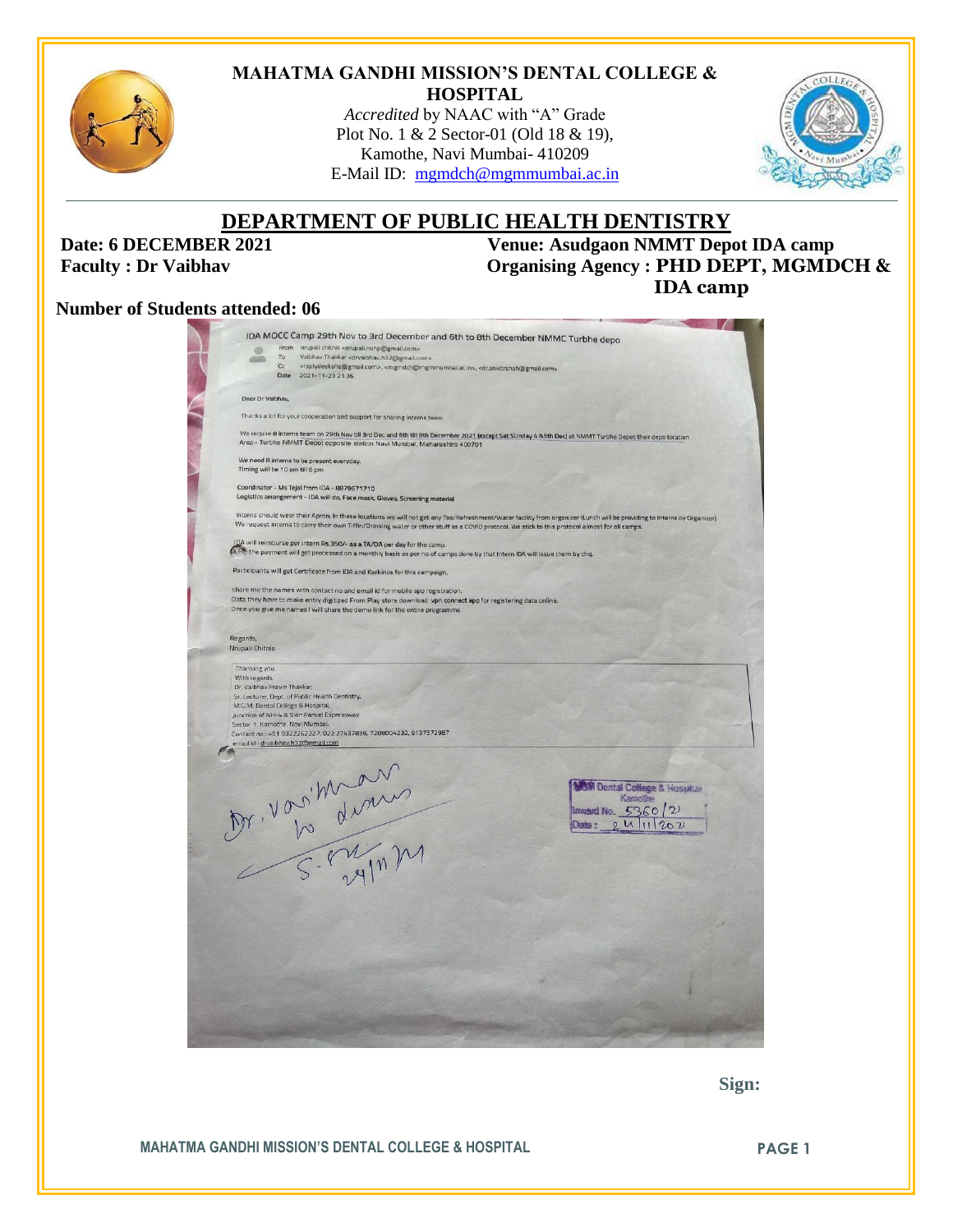

#### **MAHATMA GANDHI MISSION'S DENTAL COLLEGE & HOSPITAL**

*Accredited* by NAAC with "A" Grade Plot No. 1 & 2 Sector-01 (Old 18 & 19), Kamothe, Navi Mumbai- 410209 E-Mail ID: [mgmdch@mgmmumbai.ac.in](mailto:mgmdch@mgmmumbai.ac.in)



# **DEPARTMENT OF PUBLIC HEALTH DENTISTRY**

**Date: 6 DECEMBER 2021** Venue: Asudgaon NMMT Depot IDA camp<br>Faculty : Dr Vaibhav Organising Agency : PHD DEPT, MGMD **Faculty : PHD DEPT, MGMDCH & IDA camp**

#### **Number of Students attended: 06**

|                 |                                                                        | IDA MOCC Camp 29th Nov to 3rd December and 6th to 8th December NMMC Turbhe depo                                                                                                                                                                                                                                            |  |  |  |  |
|-----------------|------------------------------------------------------------------------|----------------------------------------------------------------------------------------------------------------------------------------------------------------------------------------------------------------------------------------------------------------------------------------------------------------------------|--|--|--|--|
|                 | m<br>To                                                                | From nrupali chitnis <nrupali.nohp@gmail.com><br/>Vaibhav Thakkar <drvaibhav.h32@gmail.com></drvaibhav.h32@gmail.com></nrupali.nohp@gmail.com>                                                                                                                                                                             |  |  |  |  |
|                 | Cc<br>Date                                                             | <replydeeksha@gmail.com>, <mgmdch@mgmmumbai.ac.in>, <dr.ankitrshah@gmail.com></dr.ankitrshah@gmail.com></mgmdch@mgmmumbai.ac.in></replydeeksha@gmail.com>                                                                                                                                                                  |  |  |  |  |
|                 |                                                                        | 2021-11-23 21:36                                                                                                                                                                                                                                                                                                           |  |  |  |  |
|                 | Dear Dr Valbhav,                                                       |                                                                                                                                                                                                                                                                                                                            |  |  |  |  |
|                 |                                                                        |                                                                                                                                                                                                                                                                                                                            |  |  |  |  |
|                 | Thanks a lot for your cooperation and support for sharing Interns team |                                                                                                                                                                                                                                                                                                                            |  |  |  |  |
|                 |                                                                        | We require 8 interns team on 29th Nov till 3rd Dec and 6th till 8th December 2021 (except Sat SUnday 4 85th Dec) at NMMT Turbhe Depot their depo location<br>Area - Turbhe NMMT Depot opposite station Navi Mumbai, Maharashtra 400701                                                                                     |  |  |  |  |
|                 |                                                                        | We need 8 interns to be present everyday.                                                                                                                                                                                                                                                                                  |  |  |  |  |
|                 |                                                                        | Timing will be 10 am till 6 pm                                                                                                                                                                                                                                                                                             |  |  |  |  |
|                 |                                                                        | Coordinator - Ms Tejal from IDA - 8879671710<br>Logistics arrangement - IDA will do, Face mask, Gloves, Screening material                                                                                                                                                                                                 |  |  |  |  |
|                 |                                                                        |                                                                                                                                                                                                                                                                                                                            |  |  |  |  |
|                 |                                                                        | Interns should wear their Apron, In these locations we will not get any Tea/Refreshment/Water facility from organizer (Lunch will be providing to Interns by Organizer)<br>We request Interns to carry their own Tiffin/Drinking water or other stuff as a COVID protocol. We stick to this protocol almost for all camps. |  |  |  |  |
|                 |                                                                        | IDA will reimburse per intern Rs.350/- as a TA/DA per day for the camp.<br>(a,Fo, the payment will get processed on a monthly basis as per no of camps done by that Intern IDA will issue them by chq.                                                                                                                     |  |  |  |  |
|                 |                                                                        |                                                                                                                                                                                                                                                                                                                            |  |  |  |  |
|                 |                                                                        | Participants will get Certificate from IDA and Karkinos for this campaign,                                                                                                                                                                                                                                                 |  |  |  |  |
|                 |                                                                        | share me the names with contact no and email id for mobile app registration.                                                                                                                                                                                                                                               |  |  |  |  |
|                 |                                                                        | Data they have to make entry digitized From Play store download vpn connect app for registering data online.<br>Once you give me names I will share the demo link for the entire programme                                                                                                                                 |  |  |  |  |
|                 |                                                                        |                                                                                                                                                                                                                                                                                                                            |  |  |  |  |
| Regards,        |                                                                        |                                                                                                                                                                                                                                                                                                                            |  |  |  |  |
| Nrupali Chitnis |                                                                        |                                                                                                                                                                                                                                                                                                                            |  |  |  |  |
| Thanking you.   |                                                                        |                                                                                                                                                                                                                                                                                                                            |  |  |  |  |
| With regards.   |                                                                        |                                                                                                                                                                                                                                                                                                                            |  |  |  |  |
|                 | Dr. Vaibhav Pravin Thakkar,                                            |                                                                                                                                                                                                                                                                                                                            |  |  |  |  |
|                 |                                                                        | Sr. Lecturer, Dept. of Public Health Dentistry,<br>M.G.M. Dental College & Hospital,                                                                                                                                                                                                                                       |  |  |  |  |
|                 |                                                                        | Junction of NH-4 & Sion Panvel Expressway.                                                                                                                                                                                                                                                                                 |  |  |  |  |
|                 |                                                                        | Sector 1, Kamothe, Navi Mumbai.<br>Contact no: +91 9322262227, 022 27437836, 7208004232, 9137572987                                                                                                                                                                                                                        |  |  |  |  |
|                 |                                                                        | email id : drvaibhav.h32@gmail.com                                                                                                                                                                                                                                                                                         |  |  |  |  |
|                 |                                                                        |                                                                                                                                                                                                                                                                                                                            |  |  |  |  |
|                 |                                                                        |                                                                                                                                                                                                                                                                                                                            |  |  |  |  |
|                 |                                                                        | <b>GM Dental Coffege &amp; Hospitan</b>                                                                                                                                                                                                                                                                                    |  |  |  |  |
|                 |                                                                        | Kamolhe                                                                                                                                                                                                                                                                                                                    |  |  |  |  |
|                 |                                                                        | Inward No. 5360/21                                                                                                                                                                                                                                                                                                         |  |  |  |  |
|                 |                                                                        |                                                                                                                                                                                                                                                                                                                            |  |  |  |  |
|                 |                                                                        |                                                                                                                                                                                                                                                                                                                            |  |  |  |  |
|                 |                                                                        |                                                                                                                                                                                                                                                                                                                            |  |  |  |  |
|                 |                                                                        |                                                                                                                                                                                                                                                                                                                            |  |  |  |  |
|                 |                                                                        |                                                                                                                                                                                                                                                                                                                            |  |  |  |  |
|                 |                                                                        |                                                                                                                                                                                                                                                                                                                            |  |  |  |  |
|                 |                                                                        | M. Voritimal                                                                                                                                                                                                                                                                                                               |  |  |  |  |
|                 |                                                                        |                                                                                                                                                                                                                                                                                                                            |  |  |  |  |
|                 |                                                                        |                                                                                                                                                                                                                                                                                                                            |  |  |  |  |
|                 |                                                                        |                                                                                                                                                                                                                                                                                                                            |  |  |  |  |
|                 |                                                                        |                                                                                                                                                                                                                                                                                                                            |  |  |  |  |
|                 |                                                                        |                                                                                                                                                                                                                                                                                                                            |  |  |  |  |
|                 |                                                                        |                                                                                                                                                                                                                                                                                                                            |  |  |  |  |
|                 |                                                                        |                                                                                                                                                                                                                                                                                                                            |  |  |  |  |
|                 |                                                                        |                                                                                                                                                                                                                                                                                                                            |  |  |  |  |
|                 |                                                                        |                                                                                                                                                                                                                                                                                                                            |  |  |  |  |
|                 |                                                                        |                                                                                                                                                                                                                                                                                                                            |  |  |  |  |

 **Sign:**

**MAHATMA GANDHI MISSION'S DENTAL COLLEGE & HOSPITAL PAGE 1**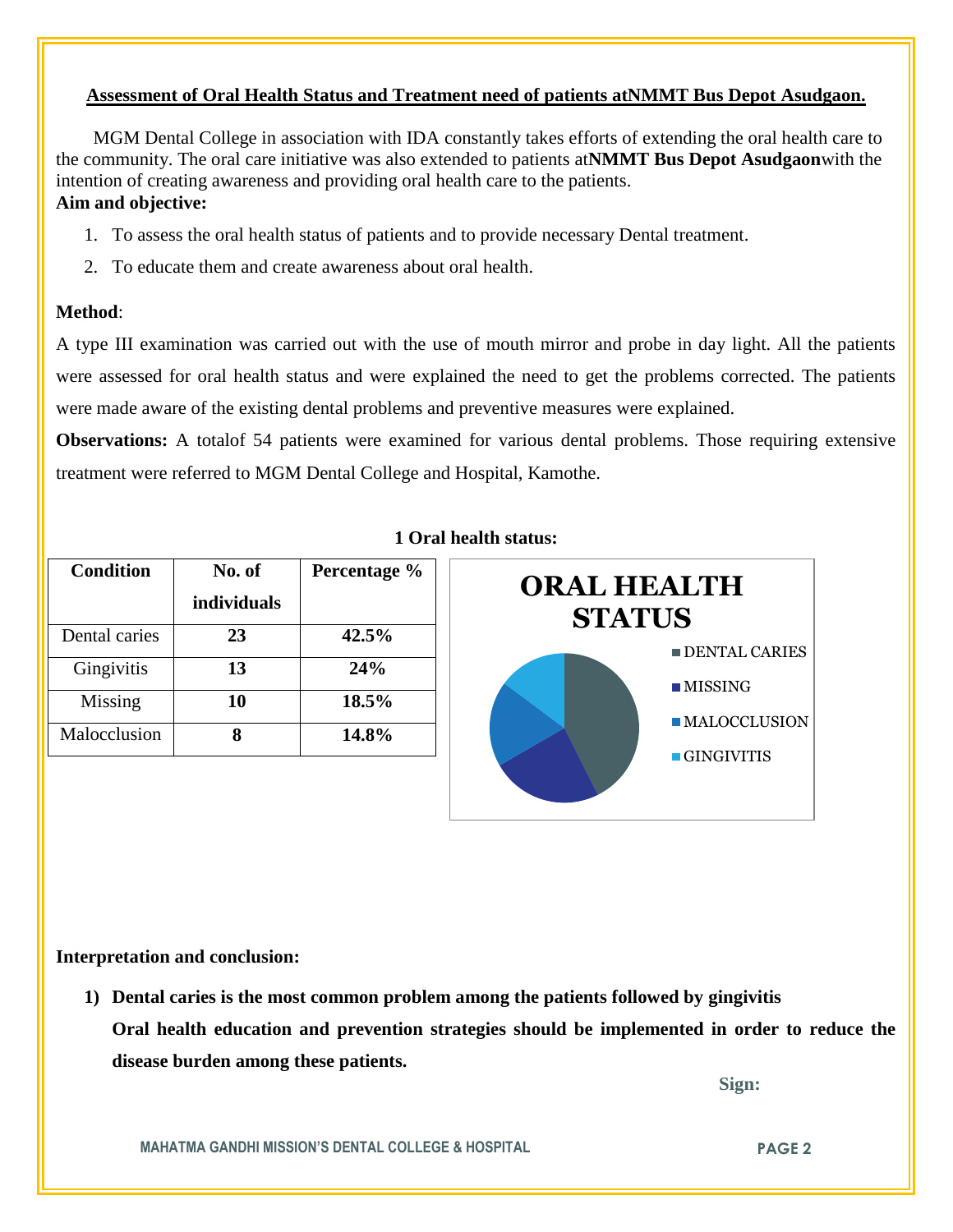# **Assessment of Oral Health Status and Treatment need of patients atNMMT Bus Depot Asudgaon.**

 MGM Dental College in association with IDA constantly takes efforts of extending the oral health care to the community. The oral care initiative was also extended to patients at**NMMT Bus Depot Asudgaon**with the intention of creating awareness and providing oral health care to the patients. **Aim and objective:** 

- 1. To assess the oral health status of patients and to provide necessary Dental treatment.
- 2. To educate them and create awareness about oral health.

## **Method**:

A type III examination was carried out with the use of mouth mirror and probe in day light. All the patients were assessed for oral health status and were explained the need to get the problems corrected. The patients were made aware of the existing dental problems and preventive measures were explained.

**Observations:** A totalof 54 patients were examined for various dental problems. Those requiring extensive treatment were referred to MGM Dental College and Hospital, Kamothe.

| <b>Condition</b> | No. of<br>individuals | Percentage % |  |
|------------------|-----------------------|--------------|--|
| Dental caries    | 23                    | 42.5%        |  |
| Gingivitis       | 13                    | 24%          |  |
| Missing          | 10                    | 18.5%        |  |
| Malocclusion     |                       | 14.8%        |  |

### **1 Oral health status:**



### **Interpretation and conclusion:**

**1) Dental caries is the most common problem among the patients followed by gingivitis Oral health education and prevention strategies should be implemented in order to reduce the disease burden among these patients.**

 **Sign:**

**MAHATMA GANDHI MISSION'S DENTAL COLLEGE & HOSPITAL PAGE 2**